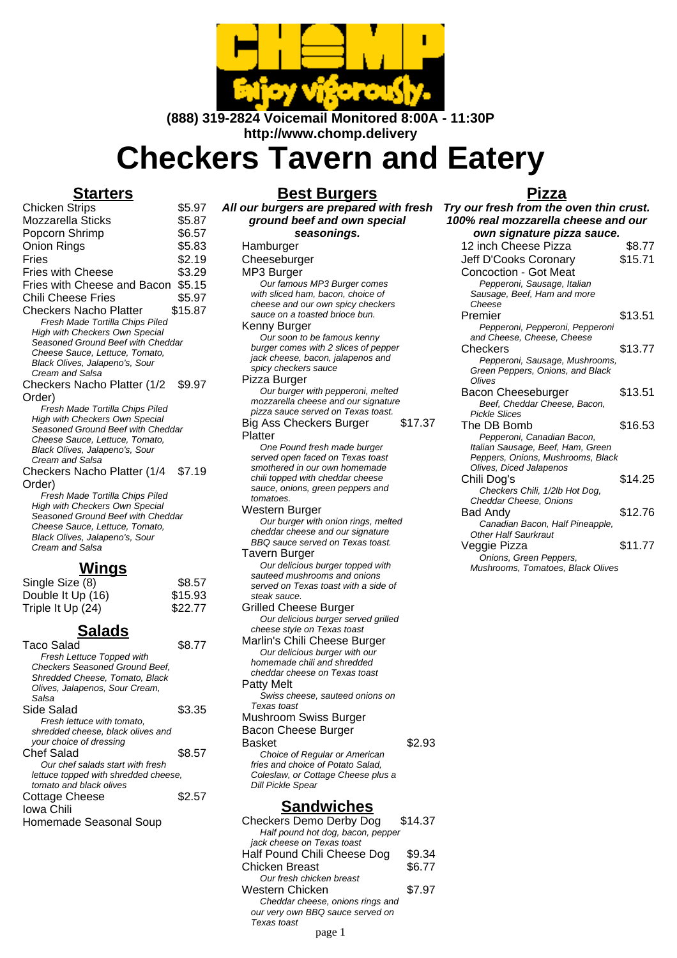

**(888) 319-2824 Voicemail Monitored 8:00A - 11:30P http://www.chomp.delivery**

# **Checkers Tavern and Eatery**

### **Starters**

Chicken Strips \$5.97 Mozzarella Sticks \$5.87 Popcorn Shrimp  $$6.57$ Onion Rings **\$5.83** Fries \$2.19 Fries with Cheese \$3.29 Fries with Cheese and Bacon \$5.15 Chili Cheese Fries \$5.97 Checkers Nacho Platter \$15.87 Fresh Made Tortilla Chips Piled High with Checkers Own Special Seasoned Ground Beef with Cheddar Cheese Sauce, Lettuce, Tomato, Black Olives, Jalapeno's, Sour Cream and Salsa Checkers Nacho Platter (1/2 Order) \$9.97 Fresh Made Tortilla Chips Piled High with Checkers Own Special Seasoned Ground Beef with Cheddar Cheese Sauce, Lettuce, Tomato, Black Olives, Jalapeno's, Sour Cream and Salsa

Checkers Nacho Platter (1/4 Order) \$7.19

Fresh Made Tortilla Chips Piled High with Checkers Own Special Seasoned Ground Beef with Cheddar Cheese Sauce, Lettuce, Tomato, Black Olives, Jalapeno's, Sour Cream and Salsa

## **Wings**

| Single Size (8)   | \$8.57  |
|-------------------|---------|
| Double It Up (16) | \$15.93 |
| Triple It Up (24) | \$22.77 |

## **Salads**

| Taco Salad                            | \$8.77 |
|---------------------------------------|--------|
| Fresh Lettuce Topped with             |        |
| <b>Checkers Seasoned Ground Beef,</b> |        |
| Shredded Cheese, Tomato, Black        |        |
| Olives, Jalapenos, Sour Cream,        |        |
| Salsa                                 |        |
| Side Salad                            | \$3.35 |
| Fresh lettuce with tomato.            |        |
| shredded cheese, black olives and     |        |
| your choice of dressing               |        |
| Chef Salad                            | \$8.57 |
| Our chef salads start with fresh      |        |
| lettuce topped with shredded cheese.  |        |
| tomato and black olives               |        |
| <b>Cottage Cheese</b>                 | \$2.57 |
| Iowa Chili                            |        |
| Homemade Seasonal Soup                |        |

#### **Best Burgers**

**All our burgers are prepared with fresh ground beef and own special seasonings. Hamburger Cheeseburger** MP3 Burger Our famous MP3 Burger comes with sliced ham, bacon, choice of cheese and our own spicy checkers sauce on a toasted brioce bun. Kenny Burger Our soon to be famous kenny burger comes with 2 slices of pepper jack cheese, bacon, jalapenos and spicy checkers sauce Pizza Burger Our burger with pepperoni, melted mozzarella cheese and our signature pizza sauce served on Texas toast. Big Ass Checkers Burger Platter \$17.37 One Pound fresh made burger served open faced on Texas toast smothered in our own homemade chili topped with cheddar cheese sauce, onions, green peppers and tomatoes. Western Burger Our burger with onion rings, melted cheddar cheese and our signature BBQ sauce served on Texas toast. Tavern Burger Our delicious burger topped with sauteed mushrooms and onions served on Texas toast with a side of steak sauce. Grilled Cheese Burger Our delicious burger served grilled cheese style on Texas toast Marlin's Chili Cheese Burger Our delicious burger with our homemade chili and shredded cheddar cheese on Texas toast Patty Melt Swiss cheese, sauteed onions on Texas toast Mushroom Swiss Burger Bacon Cheese Burger Basket \$2.93 Choice of Regular or American fries and choice of Potato Salad, Coleslaw, or Cottage Cheese plus a Dill Pickle Spear **Sandwiches** Checkers Demo Derby Dog \$14.37 Half pound hot dog, bacon, pepper

| Checkers Demo Derby Dog           | \$14.37 |
|-----------------------------------|---------|
| Half pound hot dog, bacon, pepper |         |
| jack cheese on Texas toast        |         |
| Half Pound Chili Cheese Dog       | \$9.34  |
| Chicken Breast                    | \$6.77  |
| Our fresh chicken breast          |         |
| Western Chicken                   | \$7.97  |
| Cheddar cheese, onions rings and  |         |
| our very own BBQ sauce served on  |         |
| Texas toast                       |         |
| page 1                            |         |

#### **Pizza**

**Try our fresh from the oven thin crust. 100% real mozzarella cheese and our own signature pizza sauce.** 12 inch Cheese Pizza \$8.77 Jeff D'Cooks Coronary Concoction - Got Meat \$15.71 Pepperoni, Sausage, Italian Sausage, Beef, Ham and more Cheese Premier \$13.51 Pepperoni, Pepperoni, Pepperoni and Cheese, Cheese, Cheese Checkers \$13.77 Pepperoni, Sausage, Mushrooms, Green Peppers, Onions, and Black **Olives** Bacon Cheeseburger \$13.51 Beef, Cheddar Cheese, Bacon, Pickle Slices The DB Bomb \$16.53 Pepperoni, Canadian Bacon, Italian Sausage, Beef, Ham, Green Peppers, Onions, Mushrooms, Black Olives, Diced Jalapenos Chili Dog's \$14.25 Checkers Chili, 1/2lb Hot Dog, Cheddar Cheese, Onions Bad Andy \$12.76 Canadian Bacon, Half Pineapple, **Other Half Saurkraut** Veggie Pizza  $$11.77$ Onions, Green Peppers, Mushrooms, Tomatoes, Black Olives